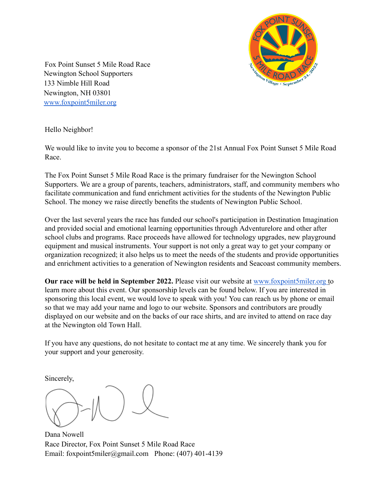

Fox Point Sunset 5 Mile Road Race Newington School Supporters 133 Nimble Hill Road Newington, NH 03801 www.foxpoint5miler.org

Hello Neighbor!

We would like to invite you to become a sponsor of the 21st Annual Fox Point Sunset 5 Mile Road Race.

The Fox Point Sunset 5 Mile Road Race is the primary fundraiser for the Newington School Supporters. We are a group of parents, teachers, administrators, staff, and community members who facilitate communication and fund enrichment activities for the students of the Newington Public School. The money we raise directly benefits the students of Newington Public School.

Over the last several years the race has funded our school's participation in Destination Imagination and provided social and emotional learning opportunities through Adventurelore and other after school clubs and programs. Race proceeds have allowed for technology upgrades, new playground equipment and musical instruments. Your support is not only a great way to get your company or organization recognized; it also helps us to meet the needs of the students and provide opportunities and enrichment activities to a generation of Newington residents and Seacoast community members.

**Our race will be held in September 2022.** Please visit our website at www.foxpoint5miler.org to learn more about this event. Our sponsorship levels can be found below. If you are interested in sponsoring this local event, we would love to speak with you! You can reach us by phone or email so that we may add your name and logo to our website. Sponsors and contributors are proudly displayed on our website and on the backs of our race shirts, and are invited to attend on race day at the Newington old Town Hall.

If you have any questions, do not hesitate to contact me at any time. We sincerely thank you for your support and your generosity.

Sincerely,

Dana Nowell Race Director, Fox Point Sunset 5 Mile Road Race Email: foxpoint5miler@gmail.com Phone: (407) 401-4139